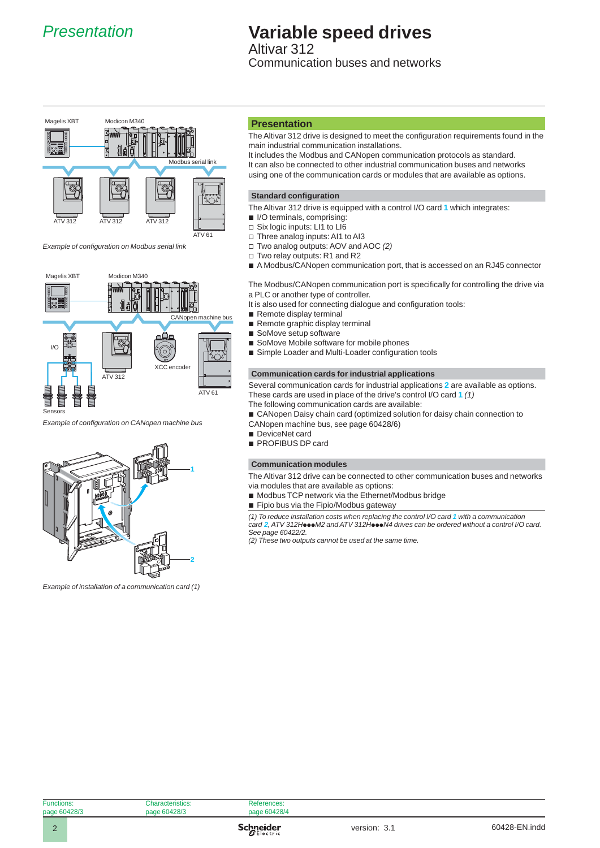

# *Presentation* **Variable speed drives**

Altivar 312 Communication buses and networks



*Example of confi guration on Modbus serial link*



*Example of confi guration on CANopen machine bus*



*Example of installation of a communication card (1)*

### **Presentation**

The Altivar 312 drive is designed to meet the configuration requirements found in the main industrial communication installations.

It includes the Modbus and CANopen communication protocols as standard. It can also be connected to other industrial communication buses and networks using one of the communication cards or modules that are available as options.

#### **Standard configuration**

- The Altivar 312 drive is equipped with a control I/O card **1** which integrates:
- **I/O terminals, comprising:**
- □ Six logic inputs: LI1 to LI6
- □ Three analog inputs: AI1 to AI3
- □ Two analog outputs: AOV and AOC (2)
- □ Two relay outputs: R1 and R2
- A Modbus/CANopen communication port, that is accessed on an RJ45 connector

The Modbus/CANopen communication port is specifically for controlling the drive via a PLC or another type of controller.

- It is also used for connecting dialogue and configuration tools:
- Remote display terminal
- Remote graphic display terminal
- SoMove setup software b
- SoMove Mobile software for mobile phones
- **B** Simple Loader and Multi-Loader configuration tools

#### **Communication cards for industrial applications**

Several communication cards for industrial applications **2** are available as options. These cards are used in place of the drive's control I/O card **1** *(1)*

- The following communication cards are available:
- CANopen Daisy chain card (optimized solution for daisy chain connection to CANopen machine bus, see page 60428/6)
- 
- DeviceNet card
- **PROFIBUS DP card**

#### **Communication modules**

The Altivar 312 drive can be connected to other communication buses and networks via modules that are available as options:

- Modbus TCP network via the Ethernet/Modbus bridge
- Fipio bus via the Fipio/Modbus gateway

*(1) To reduce installation costs when replacing the control I/O card 1 with a communication*   $c$ ard **2**, ATV 312Hoo●M2 and ATV 312Ho●●N4 drives can be ordered without a control I/O card. *See page 60422/2.*

*(2) These two outputs cannot be used at the same time.*

| ns:    | <b>Characteristics:</b> |  |
|--------|-------------------------|--|
| 1428/3 | page 60428/3            |  |
|        |                         |  |

**References** page 60428/4

Function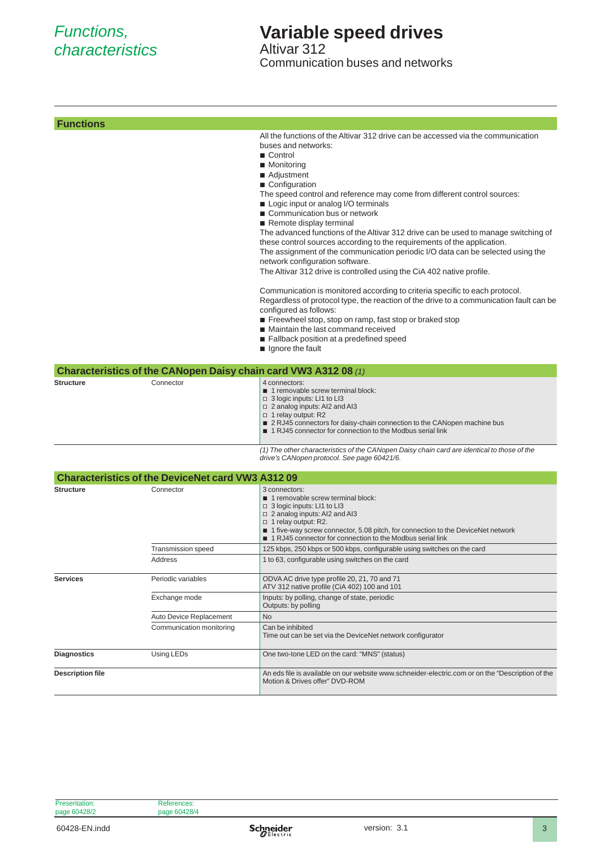## *Functions, characteristics*

## **Variable speed drives**

Altivar 312 Communication buses and networks

| <b>Functions</b>        |                                                                 |                                                                                                                                                                                                                                                                                                                                                                                                                                                                                                                                                                                                                                                                                                                                                                                                                                                                                                                                                                                                                                                                                            |
|-------------------------|-----------------------------------------------------------------|--------------------------------------------------------------------------------------------------------------------------------------------------------------------------------------------------------------------------------------------------------------------------------------------------------------------------------------------------------------------------------------------------------------------------------------------------------------------------------------------------------------------------------------------------------------------------------------------------------------------------------------------------------------------------------------------------------------------------------------------------------------------------------------------------------------------------------------------------------------------------------------------------------------------------------------------------------------------------------------------------------------------------------------------------------------------------------------------|
|                         |                                                                 | All the functions of the Altivar 312 drive can be accessed via the communication<br>buses and networks:<br>■ Control<br>■ Monitoring<br>■ Adjustment<br>■ Configuration<br>The speed control and reference may come from different control sources:<br>■ Logic input or analog I/O terminals<br>Communication bus or network<br>Remote display terminal<br>The advanced functions of the Altivar 312 drive can be used to manage switching of<br>these control sources according to the requirements of the application.<br>The assignment of the communication periodic I/O data can be selected using the<br>network configuration software.<br>The Altivar 312 drive is controlled using the CiA 402 native profile.<br>Communication is monitored according to criteria specific to each protocol.<br>Regardless of protocol type, the reaction of the drive to a communication fault can be<br>configured as follows:<br>Freewheel stop, stop on ramp, fast stop or braked stop<br>■ Maintain the last command received<br>Fallback position at a predefined speed<br>gnore the fault |
|                         | Characteristics of the CANopen Daisy chain card VW3 A312 08 (1) |                                                                                                                                                                                                                                                                                                                                                                                                                                                                                                                                                                                                                                                                                                                                                                                                                                                                                                                                                                                                                                                                                            |
| <b>Structure</b>        | Connector                                                       | 4 connectors:<br>1 removable screw terminal block:<br>□ 3 logic inputs: LI1 to LI3<br>$\Box$ 2 analog inputs: AI2 and AI3<br>□ 1 relay output: R2<br>■ 2 RJ45 connectors for daisy-chain connection to the CANopen machine bus<br>■ 1 RJ45 connector for connection to the Modbus serial link                                                                                                                                                                                                                                                                                                                                                                                                                                                                                                                                                                                                                                                                                                                                                                                              |
|                         |                                                                 | (1) The other characteristics of the CANopen Daisy chain card are identical to those of the<br>drive's CANopen protocol. See page 60421/6.                                                                                                                                                                                                                                                                                                                                                                                                                                                                                                                                                                                                                                                                                                                                                                                                                                                                                                                                                 |
|                         | <b>Characteristics of the DeviceNet card VW3 A312 09</b>        |                                                                                                                                                                                                                                                                                                                                                                                                                                                                                                                                                                                                                                                                                                                                                                                                                                                                                                                                                                                                                                                                                            |
| <b>Structure</b>        | Connector                                                       | 3 connectors:<br>1 removable screw terminal block:<br>$\Box$ 3 logic inputs: LI1 to LI3<br>$\Box$ 2 analog inputs: AI2 and AI3<br>$\Box$ 1 relay output: R2.<br>■ 1 five-way screw connector, 5.08 pitch, for connection to the DeviceNet network<br>■ 1 RJ45 connector for connection to the Modbus serial link                                                                                                                                                                                                                                                                                                                                                                                                                                                                                                                                                                                                                                                                                                                                                                           |
|                         | Transmission speed                                              | 125 kbps, 250 kbps or 500 kbps, configurable using switches on the card                                                                                                                                                                                                                                                                                                                                                                                                                                                                                                                                                                                                                                                                                                                                                                                                                                                                                                                                                                                                                    |
|                         | Address                                                         | 1 to 63, configurable using switches on the card                                                                                                                                                                                                                                                                                                                                                                                                                                                                                                                                                                                                                                                                                                                                                                                                                                                                                                                                                                                                                                           |
| <b>Services</b>         | Periodic variables                                              | ODVA AC drive type profile 20, 21, 70 and 71<br>ATV 312 native profile (CiA 402) 100 and 101                                                                                                                                                                                                                                                                                                                                                                                                                                                                                                                                                                                                                                                                                                                                                                                                                                                                                                                                                                                               |
|                         | Exchange mode                                                   | Inputs: by polling, change of state, periodic<br>Outputs: by polling                                                                                                                                                                                                                                                                                                                                                                                                                                                                                                                                                                                                                                                                                                                                                                                                                                                                                                                                                                                                                       |
|                         | Auto Device Replacement                                         | No                                                                                                                                                                                                                                                                                                                                                                                                                                                                                                                                                                                                                                                                                                                                                                                                                                                                                                                                                                                                                                                                                         |
|                         | Communication monitoring                                        | Can be inhibited<br>Time out can be set via the DeviceNet network configurator                                                                                                                                                                                                                                                                                                                                                                                                                                                                                                                                                                                                                                                                                                                                                                                                                                                                                                                                                                                                             |
| Diagnostics             | Using LEDs                                                      | One two-tone LED on the card: "MNS" (status)                                                                                                                                                                                                                                                                                                                                                                                                                                                                                                                                                                                                                                                                                                                                                                                                                                                                                                                                                                                                                                               |
| <b>Description file</b> |                                                                 | An eds file is available on our website www.schneider-electric.com or on the "Description of the<br>Motion & Drives offer" DVD-ROM                                                                                                                                                                                                                                                                                                                                                                                                                                                                                                                                                                                                                                                                                                                                                                                                                                                                                                                                                         |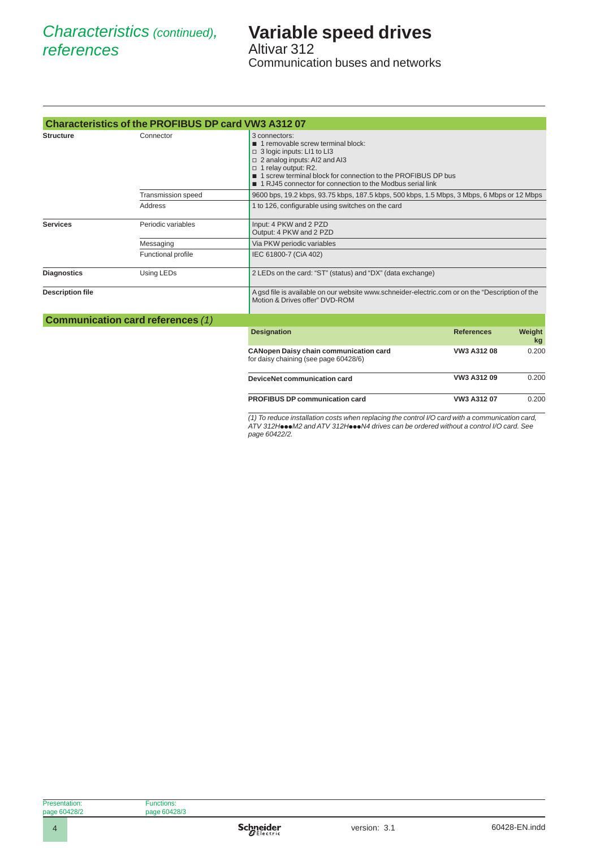## **Variable speed drives** Altivar 312

Communication buses and networks

|                         | <b>Characteristics of the PROFIBUS DP card VW3 A312 07</b> |                                                                                                                                                                                                                                                                                |                   |              |
|-------------------------|------------------------------------------------------------|--------------------------------------------------------------------------------------------------------------------------------------------------------------------------------------------------------------------------------------------------------------------------------|-------------------|--------------|
| <b>Structure</b>        | Connector                                                  | 3 connectors:<br>1 removable screw terminal block:<br>□ 3 logic inputs: LI1 to LI3<br>□ 2 analog inputs: AI2 and AI3<br>□ 1 relay output: R2.<br>■ 1 screw terminal block for connection to the PROFIBUS DP bus<br>■ 1 RJ45 connector for connection to the Modbus serial link |                   |              |
|                         | <b>Transmission speed</b>                                  | 9600 bps, 19.2 kbps, 93.75 kbps, 187.5 kbps, 500 kbps, 1.5 Mbps, 3 Mbps, 6 Mbps or 12 Mbps                                                                                                                                                                                     |                   |              |
|                         | Address                                                    | 1 to 126, configurable using switches on the card                                                                                                                                                                                                                              |                   |              |
| <b>Services</b>         | Periodic variables                                         | Input: 4 PKW and 2 PZD<br>Output: 4 PKW and 2 PZD                                                                                                                                                                                                                              |                   |              |
|                         | Messaging                                                  | Via PKW periodic variables                                                                                                                                                                                                                                                     |                   |              |
|                         | Functional profile                                         | IEC 61800-7 (CiA 402)                                                                                                                                                                                                                                                          |                   |              |
| <b>Diagnostics</b>      | Using LEDs                                                 | 2 LEDs on the card: "ST" (status) and "DX" (data exchange)                                                                                                                                                                                                                     |                   |              |
| <b>Description file</b> |                                                            | A gsd file is available on our website www.schneider-electric.com or on the "Description of the<br>Motion & Drives offer" DVD-ROM                                                                                                                                              |                   |              |
|                         | <b>Communication card references (1)</b>                   |                                                                                                                                                                                                                                                                                |                   |              |
|                         |                                                            | <b>Designation</b>                                                                                                                                                                                                                                                             | <b>References</b> | Weight<br>kg |
|                         |                                                            | <b>CANopen Daisy chain communication card</b><br>for daisy chaining (see page 60428/6)                                                                                                                                                                                         | VW3 A312 08       | 0.200        |
|                         |                                                            | DeviceNet communication card                                                                                                                                                                                                                                                   | VW3 A312 09       | 0.200        |
|                         |                                                            | <b>PROFIBUS DP communication card</b>                                                                                                                                                                                                                                          | VW3 A312 07       | 0.200        |

*(1) To reduce installation costs when replacing the control I/O card with a communication card, ATV 312H*ppp*M2 and ATV 312H*ppp*N4 drives can be ordered without a control I/O card. See page 60422/2.*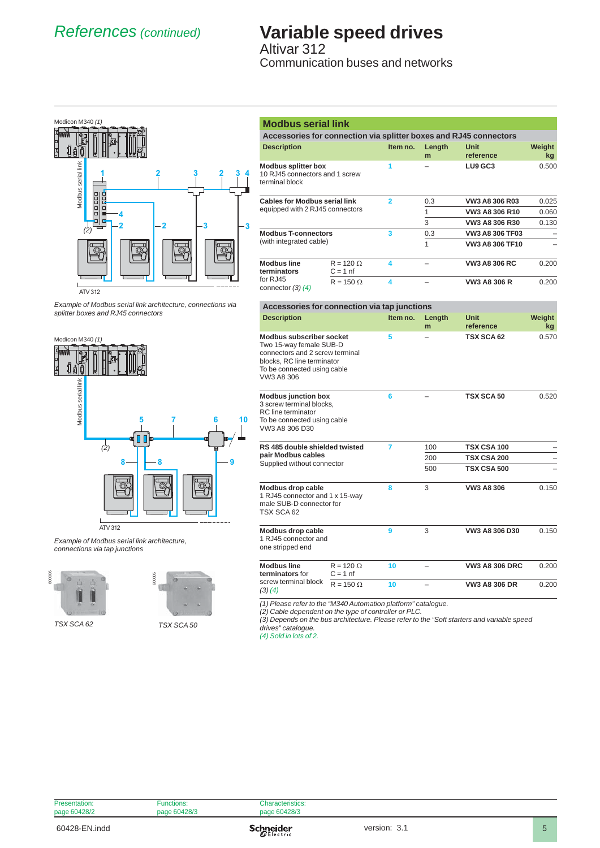# *References (continued)* **Variable speed drives**

Altivar 312 Communication buses and networks



ATV 312

*Example of Modbus serial link architecture, connections via* 



ATV 312

*Example of Modbus serial link architecture, connections via tap junctions*





*TSX SCA 50*

| <b>Modbus serial link</b>                                                                                                                                                |                                |                |             |                                                                   |              |
|--------------------------------------------------------------------------------------------------------------------------------------------------------------------------|--------------------------------|----------------|-------------|-------------------------------------------------------------------|--------------|
|                                                                                                                                                                          |                                |                |             | Accessories for connection via splitter boxes and RJ45 connectors |              |
| <b>Description</b>                                                                                                                                                       |                                | Item no.       | Length<br>m | <b>Unit</b><br>reference                                          | Weight<br>kg |
| <b>Modbus splitter box</b><br>10 RJ45 connectors and 1 screw<br>terminal block                                                                                           |                                | 1              |             | LU9 GC3                                                           | 0.500        |
| <b>Cables for Modbus serial link</b>                                                                                                                                     |                                | $\overline{2}$ | 0.3         | VW3 A8 306 R03                                                    | 0.025        |
| equipped with 2 RJ45 connectors                                                                                                                                          |                                |                | 1           | VW3 A8 306 R10                                                    | 0.060        |
|                                                                                                                                                                          |                                |                | 3           | VW3 A8 306 R30                                                    | 0.130        |
| <b>Modbus T-connectors</b>                                                                                                                                               |                                | 3              | 0.3         | <b>VW3 A8 306 TF03</b>                                            |              |
| (with integrated cable)                                                                                                                                                  |                                |                | 1           | VW3 A8 306 TF10                                                   |              |
| <b>Modbus line</b><br>terminators                                                                                                                                        | $R = 120 \Omega$<br>$C = 1$ nf | 4              | $\equiv$    | <b>VW3 A8 306 RC</b>                                              | 0.200        |
| for RJ45<br>connector $(3)$ $(4)$                                                                                                                                        | $R = 150 \Omega$               | 4              |             | <b>VW3 A8 306 R</b>                                               | 0.200        |
| Accessories for connection via tap junctions                                                                                                                             |                                |                |             |                                                                   |              |
| <b>Description</b>                                                                                                                                                       |                                | Item no.       | Length<br>m | <b>Unit</b><br>reference                                          | Weight<br>kg |
| <b>Modbus subscriber socket</b><br>Two 15-way female SUB-D<br>connectors and 2 screw terminal<br>blocks, RC line terminator<br>To be connected using cable<br>VW3 A8 306 |                                | 5              |             | TSX SCA 62                                                        | 0.570        |
| <b>Modbus junction box</b><br>3 screw terminal blocks,<br>RC line terminator<br>To be connected using cable<br>VW3 A8 306 D30                                            |                                | 6              |             | <b>TSX SCA 50</b>                                                 | 0.520        |
| RS 485 double shielded twisted                                                                                                                                           |                                | 7              | 100         | TSX CSA 100                                                       |              |
| pair Modbus cables                                                                                                                                                       |                                |                | 200         | <b>TSX CSA 200</b>                                                |              |
| Supplied without connector                                                                                                                                               |                                |                | 500         | <b>TSX CSA 500</b>                                                |              |
| Modbus drop cable<br>1 RJ45 connector and 1 x 15-way<br>male SUB-D connector for                                                                                         |                                | 8              | 3           | VW3 A8 306                                                        | 0.150        |

**Modbus drop cable** 1 RJ45 connector and

one stripped end

TSX SCA 62

| <b>Modbus line</b><br>terminators for | $R = 120 \Omega$<br>$C = 1$ nf | 10 | $\qquad \qquad -$        | <b>VW3 A8 306 DRC</b> | 0.200 |
|---------------------------------------|--------------------------------|----|--------------------------|-----------------------|-------|
| screw terminal block<br>(3)(4)        | $R = 150 \Omega$               |    | $\overline{\phantom{0}}$ | <b>VW3 A8 306 DR</b>  | 0.200 |

**9** 3 **VW3 A8 306 D30** 0.150

*(1) Please refer to the "M340 Automation platform" catalogue.*

*(2) Cable dependent on the type of controller or PLC.*

*(3) Depends on the bus architecture. Please refer to the "Soft starters and variable speed* 

*drives" catalogue. (4) Sold in lots of 2.*

| Presentation: | Functions:   | Characteristics: |  |
|---------------|--------------|------------------|--|
| page 60428/2  | page 60428/3 | page 60428/3     |  |
|               |              |                  |  |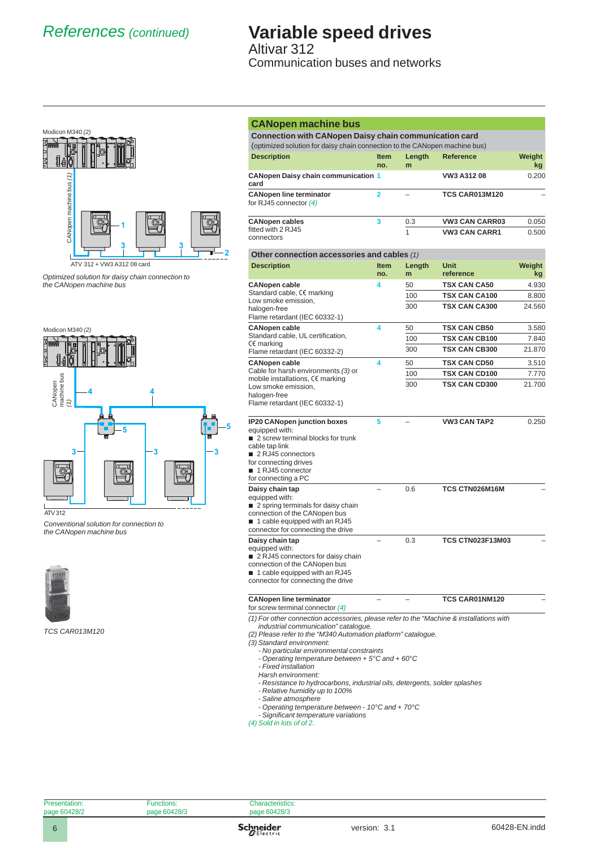## *References (continued)* **Variable speed drives** Altivar 312

Communication buses and networks



*Optimized solution for daisy chain connection to the CANopen machine bus*



*Conventional solution for connection to the CANopen machine bus*



| <b>CANopen machine bus</b>                                                                                                                  |                         |             |                          |              |
|---------------------------------------------------------------------------------------------------------------------------------------------|-------------------------|-------------|--------------------------|--------------|
| <b>Connection with CANopen Daisy chain communication card</b><br>(optimized solution for daisy chain connection to the CANopen machine bus) |                         |             |                          |              |
| <b>Description</b>                                                                                                                          | <b>Item</b>             | Length      | <b>Reference</b>         | Weight       |
|                                                                                                                                             | no.                     | m           |                          | kg           |
| <b>CANopen Daisy chain communication 1</b><br>card                                                                                          |                         |             | VW3 A312 08              | 0.200        |
| <b>CANopen line terminator</b><br>for RJ45 connector $(4)$                                                                                  | $\overline{\mathbf{2}}$ |             | <b>TCS CAR013M120</b>    |              |
| <b>CANopen cables</b>                                                                                                                       | 3                       | 0.3         | <b>VW3 CAN CARR03</b>    | 0.050        |
| fitted with 2 RJ45<br>connectors                                                                                                            |                         | 1           | <b>VW3 CAN CARR1</b>     | 0.500        |
| Other connection accessories and cables (1)                                                                                                 |                         |             |                          |              |
| <b>Description</b>                                                                                                                          | <b>Item</b><br>no.      | Length<br>m | <b>Unit</b><br>reference | Weight<br>kg |
| <b>CANopen cable</b>                                                                                                                        | 4                       | 50          | <b>TSX CAN CA50</b>      | 4.930        |
| Standard cable, CE marking                                                                                                                  |                         | 100         | <b>TSX CAN CA100</b>     | 8.800        |
| Low smoke emission,<br>halogen-free                                                                                                         |                         | 300         | <b>TSX CAN CA300</b>     | 24.560       |
| Flame retardant (IEC 60332-1)                                                                                                               |                         |             |                          |              |
| <b>CANopen cable</b>                                                                                                                        | 4                       | 50          | <b>TSX CAN CB50</b>      | 3.580        |
| Standard cable, UL certification,                                                                                                           |                         | 100         | <b>TSX CAN CB100</b>     | 7.840        |
| CE marking<br>Flame retardant (IEC 60332-2)                                                                                                 |                         | 300         | <b>TSX CAN CB300</b>     | 21.870       |
| <b>CANopen cable</b>                                                                                                                        | 4                       | 50          | <b>TSX CAN CD50</b>      | 3.510        |
| Cable for harsh environments (3) or                                                                                                         |                         | 100         | <b>TSX CAN CD100</b>     | 7.770        |
| mobile installations, CE marking                                                                                                            |                         | 300         | <b>TSX CAN CD300</b>     | 21.700       |
| Low smoke emission,<br>halogen-free                                                                                                         |                         |             |                          |              |
| Flame retardant (IEC 60332-1)                                                                                                               |                         |             |                          |              |
| <b>IP20 CANopen junction boxes</b>                                                                                                          | 5                       |             | <b>VW3 CAN TAP2</b>      | 0.250        |
| equipped with:                                                                                                                              |                         |             |                          |              |
| 2 screw terminal blocks for trunk<br>cable tap link                                                                                         |                         |             |                          |              |
| 2 RJ45 connectors                                                                                                                           |                         |             |                          |              |
| for connecting drives                                                                                                                       |                         |             |                          |              |
| 1 RJ45 connector<br>for connecting a PC                                                                                                     |                         |             |                          |              |
| Daisy chain tap                                                                                                                             |                         | 0.6         | <b>TCS CTN026M16M</b>    |              |
| equipped with:                                                                                                                              |                         |             |                          |              |
| 2 spring terminals for daisy chain                                                                                                          |                         |             |                          |              |
| connection of the CANopen bus<br>■ 1 cable equipped with an RJ45                                                                            |                         |             |                          |              |
| connector for connecting the drive                                                                                                          |                         |             |                          |              |
| Daisy chain tap                                                                                                                             |                         | 0.3         | <b>TCS CTN023F13M03</b>  |              |
| equipped with:                                                                                                                              |                         |             |                          |              |
| ■ 2 RJ45 connectors for daisy chain<br>connection of the CANopen bus                                                                        |                         |             |                          |              |
| 1 cable equipped with an RJ45                                                                                                               |                         |             |                          |              |
| connector for connecting the drive                                                                                                          |                         |             |                          |              |
| <b>CANopen line terminator</b>                                                                                                              |                         |             | TCS CAR01NM120           |              |
| for screw terminal connector $(4)$                                                                                                          |                         |             |                          |              |
| (1) For other connection accessories, please refer to the "Machine & installations with<br>industrial communication" catalogue.             |                         |             |                          |              |
| (2) Please refer to the "M340 Automation platform" catalogue.                                                                               |                         |             |                          |              |
| (3) Standard environment:                                                                                                                   |                         |             |                          |              |
| - No particular environmental constraints<br>- Operating temperature between + 5°C and + 60°C                                               |                         |             |                          |              |
| - Fixed installation                                                                                                                        |                         |             |                          |              |
| Harsh environment:                                                                                                                          |                         |             |                          |              |
| - Resistance to hydrocarbons, industrial oils, detergents, solder splashes                                                                  |                         |             |                          |              |
| - Relative humidity up to 100%<br>- Saline atmosphere                                                                                       |                         |             |                          |              |

- *Saline atmosphere*
- *Operating temperature between 10°C and + 70°C*
- *Signifi cant temperature variations*
- *(4) Sold in lots of of 2.*

| Presentation:                  | unctions<br>aiuris. | ™JUHSIICS.            |
|--------------------------------|---------------------|-----------------------|
| 001000<br>page<br>، س<br>_____ | 00100k              | 100/2<br>าลตค<br>ن/28 |
|                                |                     |                       |